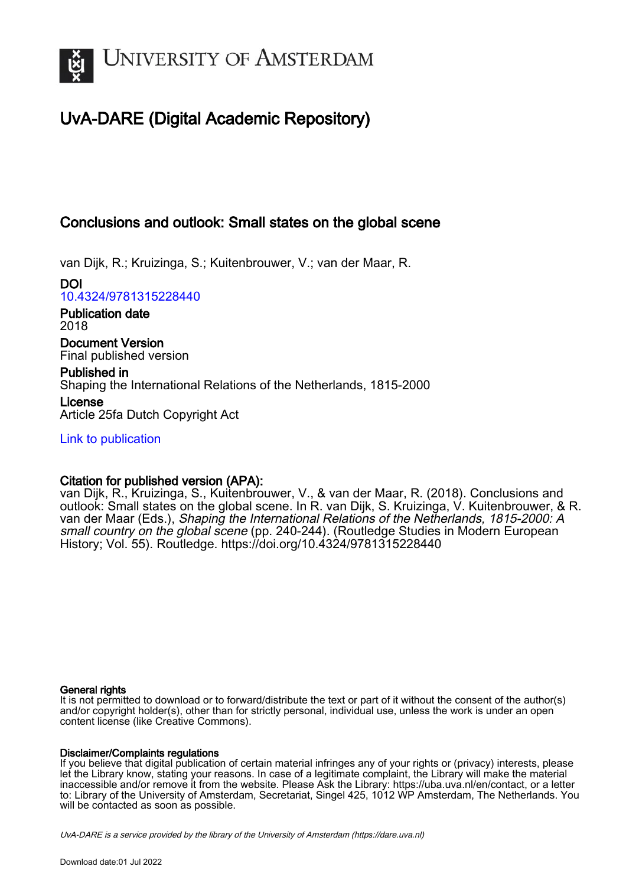

## UvA-DARE (Digital Academic Repository)

## Conclusions and outlook: Small states on the global scene

van Dijk, R.; Kruizinga, S.; Kuitenbrouwer, V.; van der Maar, R.

DOI [10.4324/9781315228440](https://doi.org/10.4324/9781315228440)

Publication date 2018

Document Version Final published version

Published in Shaping the International Relations of the Netherlands, 1815-2000 License Article 25fa Dutch Copyright Act

[Link to publication](https://dare.uva.nl/personal/pure/en/publications/conclusions-and-outlook-small-states-on-the-global-scene(3ef7b85c-5ce1-49f4-9edc-e2d10ba8eea4).html)

### Citation for published version (APA):

van Dijk, R., Kruizinga, S., Kuitenbrouwer, V., & van der Maar, R. (2018). Conclusions and outlook: Small states on the global scene. In R. van Dijk, S. Kruizinga, V. Kuitenbrouwer, & R. van der Maar (Eds.), Shaping the International Relations of the Netherlands, 1815-2000: A small country on the global scene (pp. 240-244). (Routledge Studies in Modern European History; Vol. 55). Routledge.<https://doi.org/10.4324/9781315228440>

### General rights

It is not permitted to download or to forward/distribute the text or part of it without the consent of the author(s) and/or copyright holder(s), other than for strictly personal, individual use, unless the work is under an open content license (like Creative Commons).

### Disclaimer/Complaints regulations

If you believe that digital publication of certain material infringes any of your rights or (privacy) interests, please let the Library know, stating your reasons. In case of a legitimate complaint, the Library will make the material inaccessible and/or remove it from the website. Please Ask the Library: https://uba.uva.nl/en/contact, or a letter to: Library of the University of Amsterdam, Secretariat, Singel 425, 1012 WP Amsterdam, The Netherlands. You will be contacted as soon as possible.

UvA-DARE is a service provided by the library of the University of Amsterdam (http*s*://dare.uva.nl)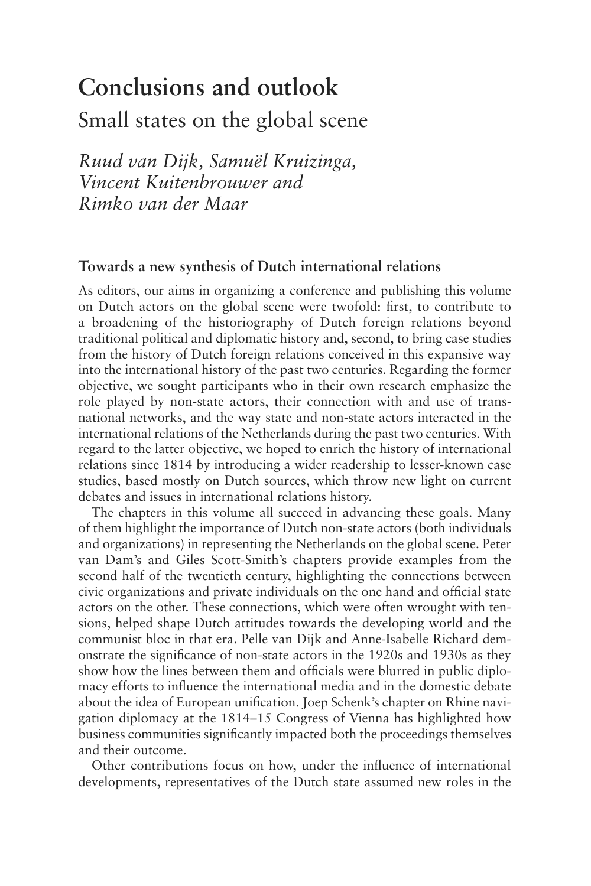# **Conclusions and outlook**

### Small states on the global scene

*Ruud van Dijk, Samuël Kruizinga, Vincent Kuitenbrouwer and Rimko van der Maar*

### **Towards a new synthesis of Dutch international relations**

As editors, our aims in organizing a conference and publishing this volume on Dutch actors on the global scene were twofold: first, to contribute to a broadening of the historiography of Dutch foreign relations beyond traditional political and diplomatic history and, second, to bring case studies from the history of Dutch foreign relations conceived in this expansive way into the international history of the past two centuries. Regarding the former objective, we sought participants who in their own research emphasize the role played by non-state actors, their connection with and use of transnational networks, and the way state and non-state actors interacted in the international relations of the Netherlands during the past two centuries. With regard to the latter objective, we hoped to enrich the history of international relations since 1814 by introducing a wider readership to lesser-known case studies, based mostly on Dutch sources, which throw new light on current debates and issues in international relations history.

The chapters in this volume all succeed in advancing these goals. Many of them highlight the importance of Dutch non-state actors (both individuals and organizations) in representing the Netherlands on the global scene. Peter van Dam's and Giles Scott-Smith's chapters provide examples from the second half of the twentieth century, highlighting the connections between civic organizations and private individuals on the one hand and official state actors on the other. These connections, which were often wrought with tensions, helped shape Dutch attitudes towards the developing world and the communist bloc in that era. Pelle van Dijk and Anne-Isabelle Richard demonstrate the significance of non-state actors in the 1920s and 1930s as they show how the lines between them and officials were blurred in public diplomacy efforts to influence the international media and in the domestic debate about the idea of European unification. Joep Schenk's chapter on Rhine navigation diplomacy at the 1814–15 Congress of Vienna has highlighted how business communities significantly impacted both the proceedings themselves and their outcome.

Other contributions focus on how, under the influence of international developments, representatives of the Dutch state assumed new roles in the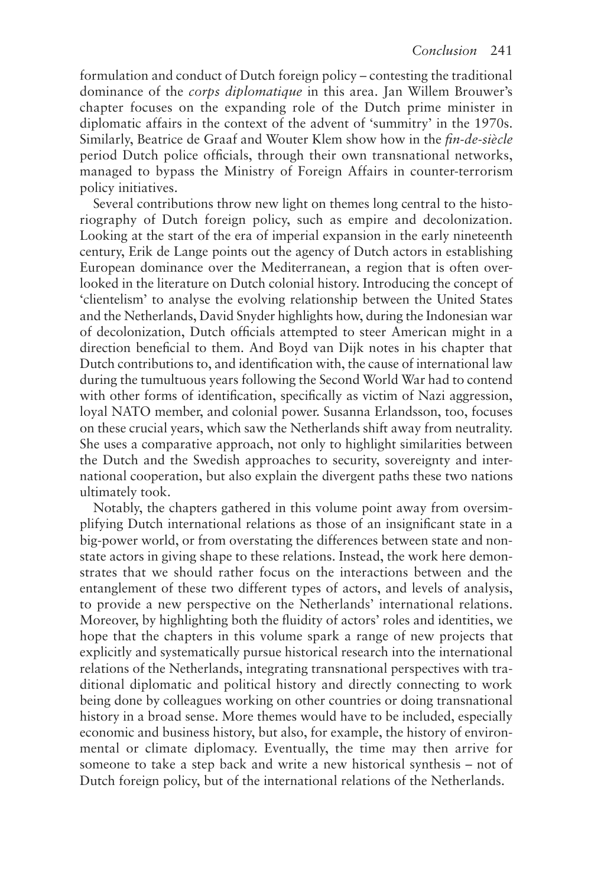formulation and conduct of Dutch foreign policy – contesting the traditional dominance of the *corps diplomatique* in this area. Jan Willem Brouwer's chapter focuses on the expanding role of the Dutch prime minister in diplomatic affairs in the context of the advent of 'summitry' in the 1970s. Similarly, Beatrice de Graaf and Wouter Klem show how in the *fin-de-siècle* period Dutch police officials, through their own transnational networks, managed to bypass the Ministry of Foreign Affairs in counter-terrorism policy initiatives.

Several contributions throw new light on themes long central to the historiography of Dutch foreign policy, such as empire and decolonization. Looking at the start of the era of imperial expansion in the early nineteenth century, Erik de Lange points out the agency of Dutch actors in establishing European dominance over the Mediterranean, a region that is often overlooked in the literature on Dutch colonial history. Introducing the concept of 'clientelism' to analyse the evolving relationship between the United States and the Netherlands, David Snyder highlights how, during the Indonesian war of decolonization, Dutch officials attempted to steer American might in a direction beneficial to them. And Boyd van Dijk notes in his chapter that Dutch contributions to, and identification with, the cause of international law during the tumultuous years following the Second World War had to contend with other forms of identification, specifically as victim of Nazi aggression, loyal NATO member, and colonial power. Susanna Erlandsson, too, focuses on these crucial years, which saw the Netherlands shift away from neutrality. She uses a comparative approach, not only to highlight similarities between the Dutch and the Swedish approaches to security, sovereignty and international cooperation, but also explain the divergent paths these two nations ultimately took.

Notably, the chapters gathered in this volume point away from oversimplifying Dutch international relations as those of an insignificant state in a big-power world, or from overstating the differences between state and nonstate actors in giving shape to these relations. Instead, the work here demonstrates that we should rather focus on the interactions between and the entanglement of these two different types of actors, and levels of analysis, to provide a new perspective on the Netherlands' international relations. Moreover, by highlighting both the fluidity of actors' roles and identities, we hope that the chapters in this volume spark a range of new projects that explicitly and systematically pursue historical research into the international relations of the Netherlands, integrating transnational perspectives with traditional diplomatic and political history and directly connecting to work being done by colleagues working on other countries or doing transnational history in a broad sense. More themes would have to be included, especially economic and business history, but also, for example, the history of environmental or climate diplomacy. Eventually, the time may then arrive for someone to take a step back and write a new historical synthesis – not of Dutch foreign policy, but of the international relations of the Netherlands.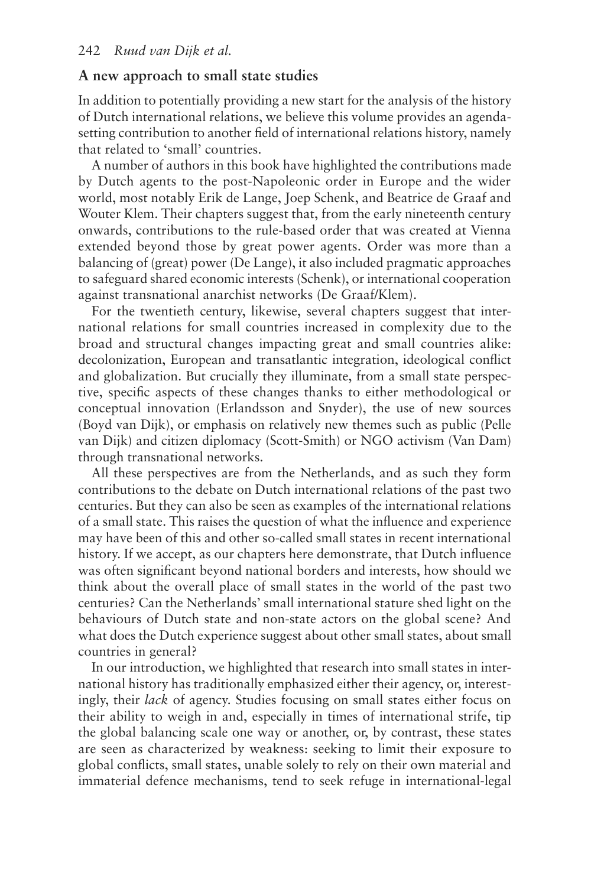### **A new approach to small state studies**

In addition to potentially providing a new start for the analysis of the history of Dutch international relations, we believe this volume provides an agendasetting contribution to another field of international relations history, namely that related to 'small' countries.

A number of authors in this book have highlighted the contributions made by Dutch agents to the post-Napoleonic order in Europe and the wider world, most notably Erik de Lange, Joep Schenk, and Beatrice de Graaf and Wouter Klem. Their chapters suggest that, from the early nineteenth century onwards, contributions to the rule-based order that was created at Vienna extended beyond those by great power agents. Order was more than a balancing of (great) power (De Lange), it also included pragmatic approaches to safeguard shared economic interests (Schenk), or international cooperation against transnational anarchist networks (De Graaf/Klem).

For the twentieth century, likewise, several chapters suggest that international relations for small countries increased in complexity due to the broad and structural changes impacting great and small countries alike: decolonization, European and transatlantic integration, ideological conflict and globalization. But crucially they illuminate, from a small state perspective, specific aspects of these changes thanks to either methodological or conceptual innovation (Erlandsson and Snyder), the use of new sources (Boyd van Dijk), or emphasis on relatively new themes such as public (Pelle van Dijk) and citizen diplomacy (Scott-Smith) or NGO activism (Van Dam) through transnational networks.

All these perspectives are from the Netherlands, and as such they form contributions to the debate on Dutch international relations of the past two centuries. But they can also be seen as examples of the international relations of a small state. This raises the question of what the influence and experience may have been of this and other so-called small states in recent international history. If we accept, as our chapters here demonstrate, that Dutch influence was often significant beyond national borders and interests, how should we think about the overall place of small states in the world of the past two centuries? Can the Netherlands' small international stature shed light on the behaviours of Dutch state and non-state actors on the global scene? And what does the Dutch experience suggest about other small states, about small countries in general?

In our introduction, we highlighted that research into small states in international history has traditionally emphasized either their agency, or, interestingly, their *lack* of agency. Studies focusing on small states either focus on their ability to weigh in and, especially in times of international strife, tip the global balancing scale one way or another, or, by contrast, these states are seen as characterized by weakness: seeking to limit their exposure to global conflicts, small states, unable solely to rely on their own material and immaterial defence mechanisms, tend to seek refuge in international-legal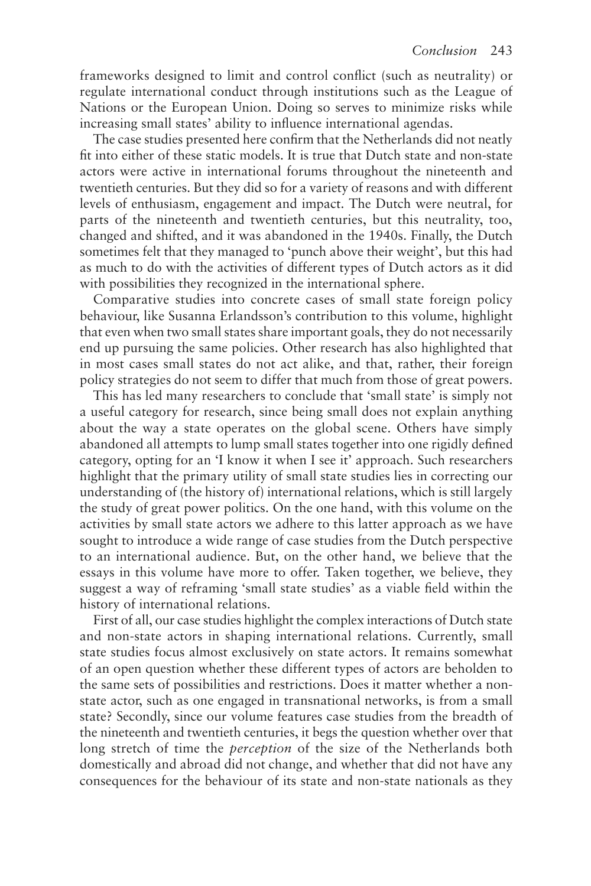frameworks designed to limit and control conflict (such as neutrality) or regulate international conduct through institutions such as the League of Nations or the European Union. Doing so serves to minimize risks while increasing small states' ability to influence international agendas.

The case studies presented here confirm that the Netherlands did not neatly fit into either of these static models. It is true that Dutch state and non-state actors were active in international forums throughout the nineteenth and twentieth centuries. But they did so for a variety of reasons and with different levels of enthusiasm, engagement and impact. The Dutch were neutral, for parts of the nineteenth and twentieth centuries, but this neutrality, too, changed and shifted, and it was abandoned in the 1940s. Finally, the Dutch sometimes felt that they managed to 'punch above their weight', but this had as much to do with the activities of different types of Dutch actors as it did with possibilities they recognized in the international sphere.

Comparative studies into concrete cases of small state foreign policy behaviour, like Susanna Erlandsson's contribution to this volume, highlight that even when two small states share important goals, they do not necessarily end up pursuing the same policies. Other research has also highlighted that in most cases small states do not act alike, and that, rather, their foreign policy strategies do not seem to differ that much from those of great powers.

This has led many researchers to conclude that 'small state' is simply not a useful category for research, since being small does not explain anything about the way a state operates on the global scene. Others have simply abandoned all attempts to lump small states together into one rigidly defined category, opting for an 'I know it when I see it' approach. Such researchers highlight that the primary utility of small state studies lies in correcting our understanding of (the history of) international relations, which is still largely the study of great power politics. On the one hand, with this volume on the activities by small state actors we adhere to this latter approach as we have sought to introduce a wide range of case studies from the Dutch perspective to an international audience. But, on the other hand, we believe that the essays in this volume have more to offer. Taken together, we believe, they suggest a way of reframing 'small state studies' as a viable field within the history of international relations.

First of all, our case studies highlight the complex interactions of Dutch state and non-state actors in shaping international relations. Currently, small state studies focus almost exclusively on state actors. It remains somewhat of an open question whether these different types of actors are beholden to the same sets of possibilities and restrictions. Does it matter whether a nonstate actor, such as one engaged in transnational networks, is from a small state? Secondly, since our volume features case studies from the breadth of the nineteenth and twentieth centuries, it begs the question whether over that long stretch of time the *perception* of the size of the Netherlands both domestically and abroad did not change, and whether that did not have any consequences for the behaviour of its state and non-state nationals as they